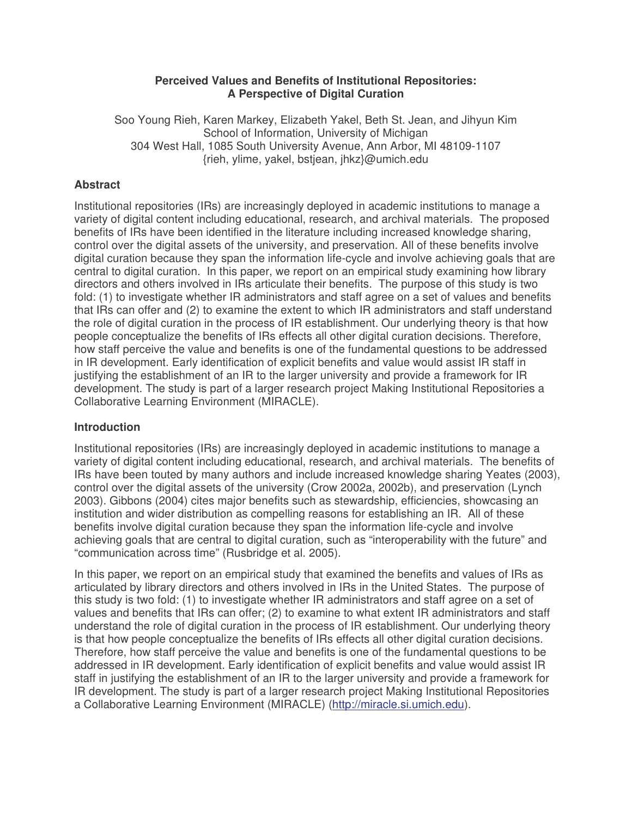#### **Perceived Values and Benefits of Institutional Repositories: A Perspective of Digital Curation**

Soo Young Rieh, Karen Markey, Elizabeth Yakel, Beth St. Jean, and Jihyun Kim School of Information, University of Michigan 304 West Hall, 1085 South University Avenue, Ann Arbor, MI 48109-1107 {rieh, ylime, yakel, bstjean, jhkz}@umich.edu

# **Abstract**

Institutional repositories (IRs) are increasingly deployed in academic institutions to manage a variety of digital content including educational, research, and archival materials. The proposed benefits of IRs have been identified in the literature including increased knowledge sharing, control over the digital assets of the university, and preservation. All of these benefits involve digital curation because they span the information life-cycle and involve achieving goals that are central to digital curation. In this paper, we report on an empirical study examining how library directors and others involved in IRs articulate their benefits. The purpose of this study is two fold: (1) to investigate whether IR administrators and staff agree on a set of values and benefits that IRs can offer and (2) to examine the extent to which IR administrators and staff understand the role of digital curation in the process of IR establishment. Our underlying theory is that how people conceptualize the benefits of IRs effects all other digital curation decisions. Therefore, how staff perceive the value and benefits is one of the fundamental questions to be addressed in IR development. Early identification of explicit benefits and value would assist IR staff in justifying the establishment of an IR to the larger university and provide a framework for IR development. The study is part of a larger research project Making Institutional Repositories a Collaborative Learning Environment (MIRACLE).

# **Introduction**

Institutional repositories (IRs) are increasingly deployed in academic institutions to manage a variety of digital content including educational, research, and archival materials. The benefits of IRs have been touted by many authors and include increased knowledge sharing Yeates (2003), control over the digital assets of the university (Crow 2002a, 2002b), and preservation (Lynch 2003). Gibbons (2004) cites major benefits such as stewardship, efficiencies, showcasing an institution and wider distribution as compelling reasons for establishing an IR. All of these benefits involve digital curation because they span the information life-cycle and involve achieving goals that are central to digital curation, such as "interoperability with the future" and "communication across time" (Rusbridge et al. 2005).

In this paper, we report on an empirical study that examined the benefits and values of IRs as articulated by library directors and others involved in IRs in the United States. The purpose of this study is two fold: (1) to investigate whether IR administrators and staff agree on a set of values and benefits that IRs can offer; (2) to examine to what extent IR administrators and staff understand the role of digital curation in the process of IR establishment. Our underlying theory is that how people conceptualize the benefits of IRs effects all other digital curation decisions. Therefore, how staff perceive the value and benefits is one of the fundamental questions to be addressed in IR development. Early identification of explicit benefits and value would assist IR staff in justifying the establishment of an IR to the larger university and provide a framework for IR development. The study is part of a larger research project Making Institutional Repositories a Collaborative Learning Environment (MIRACLE) (http://miracle.si.umich.edu).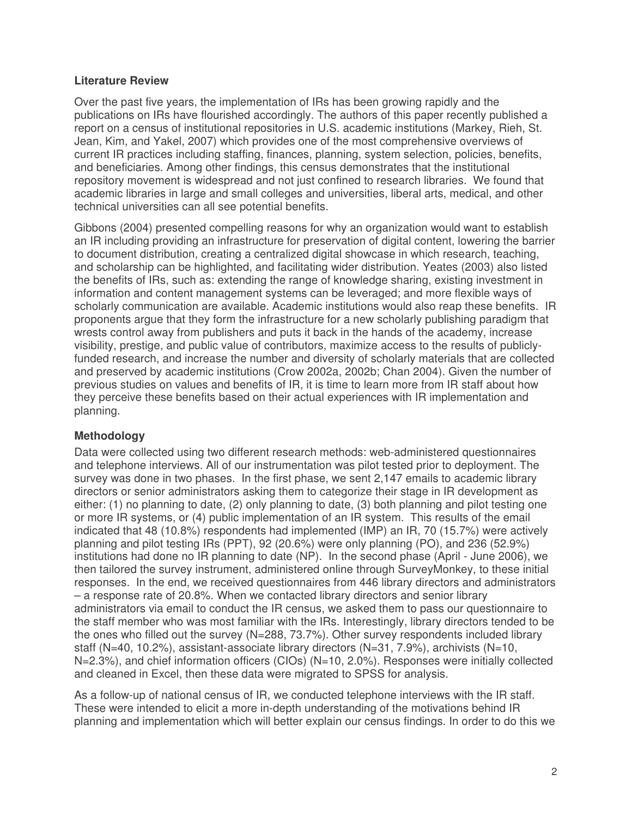### **Literature Review**

Over the past five years, the implementation of IRs has been growing rapidly and the publications on IRs have flourished accordingly. The authors of this paper recently published a report on a census of institutional repositories in U.S. academic institutions (Markey, Rieh, St. Jean, Kim, and Yakel, 2007) which provides one of the most comprehensive overviews of current IR practices including staffing, finances, planning, system selection, policies, benefits, and beneficiaries. Among other findings, this census demonstrates that the institutional repository movement is widespread and not just confined to research libraries. We found that academic libraries in large and small colleges and universities, liberal arts, medical, and other technical universities can all see potential benefits.

Gibbons (2004) presented compelling reasons for why an organization would want to establish an IR including providing an infrastructure for preservation of digital content, lowering the barrier to document distribution, creating a centralized digital showcase in which research, teaching, and scholarship can be highlighted, and facilitating wider distribution. Yeates (2003) also listed the benefits of IRs, such as: extending the range of knowledge sharing, existing investment in information and content management systems can be leveraged; and more flexible ways of scholarly communication are available. Academic institutions would also reap these benefits. IR proponents argue that they form the infrastructure for a new scholarly publishing paradigm that wrests control away from publishers and puts it back in the hands of the academy, increase visibility, prestige, and public value of contributors, maximize access to the results of publiclyfunded research, and increase the number and diversity of scholarly materials that are collected and preserved by academic institutions (Crow 2002a, 2002b; Chan 2004). Given the number of previous studies on values and benefits of IR, it is time to learn more from IR staff about how they perceive these benefits based on their actual experiences with IR implementation and planning.

# **Methodology**

Data were collected using two different research methods: web-administered questionnaires and telephone interviews. All of our instrumentation was pilot tested prior to deployment. The survey was done in two phases. In the first phase, we sent 2,147 emails to academic library directors or senior administrators asking them to categorize their stage in IR development as either: (1) no planning to date, (2) only planning to date, (3) both planning and pilot testing one or more IR systems, or (4) public implementation of an IR system. This results of the email indicated that 48 (10.8%) respondents had implemented (IMP) an IR, 70 (15.7%) were actively planning and pilot testing IRs (PPT), 92 (20.6%) were only planning (PO), and 236 (52.9%) institutions had done no IR planning to date (NP). In the second phase (April - June 2006), we then tailored the survey instrument, administered online through SurveyMonkey, to these initial responses. In the end, we received questionnaires from 446 library directors and administrators – a response rate of 20.8%. When we contacted library directors and senior library administrators via email to conduct the IR census, we asked them to pass our questionnaire to the staff member who was most familiar with the IRs. Interestingly, library directors tended to be the ones who filled out the survey (N=288, 73.7%). Other survey respondents included library staff (N=40, 10.2%), assistant-associate library directors (N=31, 7.9%), archivists (N=10, N=2.3%), and chief information officers (CIOs) (N=10, 2.0%). Responses were initially collected and cleaned in Excel, then these data were migrated to SPSS for analysis.

As a follow-up of national census of IR, we conducted telephone interviews with the IR staff. These were intended to elicit a more in-depth understanding of the motivations behind IR planning and implementation which will better explain our census findings. In order to do this we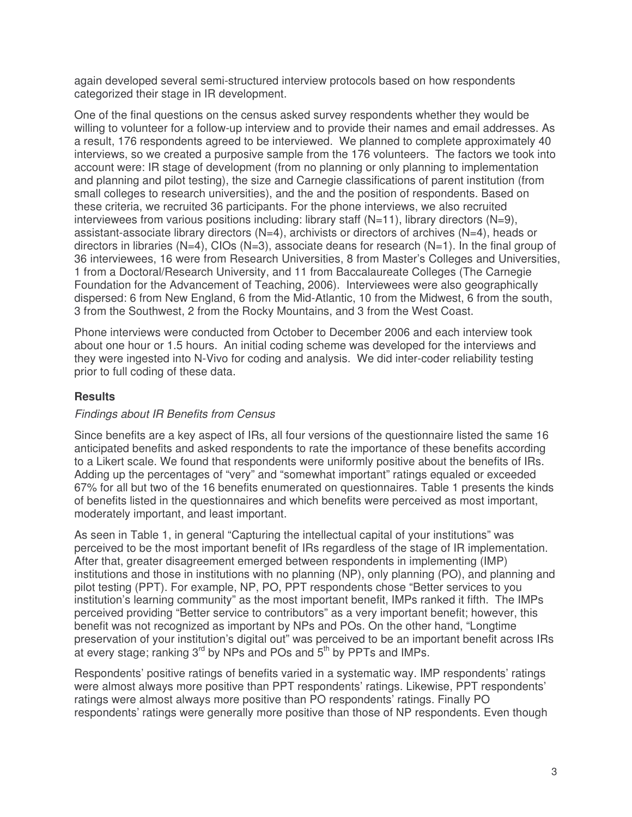again developed several semi-structured interview protocols based on how respondents categorized their stage in IR development.

One of the final questions on the census asked survey respondents whether they would be willing to volunteer for a follow-up interview and to provide their names and email addresses. As a result, 176 respondents agreed to be interviewed. We planned to complete approximately 40 interviews, so we created a purposive sample from the 176 volunteers. The factors we took into account were: IR stage of development (from no planning or only planning to implementation and planning and pilot testing), the size and Carnegie classifications of parent institution (from small colleges to research universities), and the and the position of respondents. Based on these criteria, we recruited 36 participants. For the phone interviews, we also recruited interviewees from various positions including: library staff  $(N=11)$ , library directors  $(N=9)$ , assistant-associate library directors (N=4), archivists or directors of archives (N=4), heads or directors in libraries ( $N=4$ ), CIOs ( $N=3$ ), associate deans for research ( $N=1$ ). In the final group of 36 interviewees, 16 were from Research Universities, 8 from Master's Colleges and Universities, 1 from a Doctoral/Research University, and 11 from Baccalaureate Colleges (The Carnegie Foundation for the Advancement of Teaching, 2006). Interviewees were also geographically dispersed: 6 from New England, 6 from the Mid-Atlantic, 10 from the Midwest, 6 from the south, 3 from the Southwest, 2 from the Rocky Mountains, and 3 from the West Coast.

Phone interviews were conducted from October to December 2006 and each interview took about one hour or 1.5 hours. An initial coding scheme was developed for the interviews and they were ingested into N-Vivo for coding and analysis. We did inter-coder reliability testing prior to full coding of these data.

## **Results**

### *Findings about IR Benefits from Census*

Since benefits are a key aspect of IRs, all four versions of the questionnaire listed the same 16 anticipated benefits and asked respondents to rate the importance of these benefits according to a Likert scale. We found that respondents were uniformly positive about the benefits of IRs. Adding up the percentages of "very" and "somewhat important" ratings equaled or exceeded 67% for all but two of the 16 benefits enumerated on questionnaires. Table 1 presents the kinds of benefits listed in the questionnaires and which benefits were perceived as most important, moderately important, and least important.

As seen in Table 1, in general "Capturing the intellectual capital of your institutions" was perceived to be the most important benefit of IRs regardless of the stage of IR implementation. After that, greater disagreement emerged between respondents in implementing (IMP) institutions and those in institutions with no planning (NP), only planning (PO), and planning and pilot testing (PPT). For example, NP, PO, PPT respondents chose "Better services to you institution's learning community" as the most important benefit, IMPs ranked it fifth. The IMPs perceived providing "Better service to contributors" as a very important benefit; however, this benefit was not recognized as important by NPs and POs. On the other hand, "Longtime preservation of your institution's digital out" was perceived to be an important benefit across IRs at every stage; ranking 3<sup>rd</sup> by NPs and POs and 5<sup>th</sup> by PPTs and IMPs.

Respondents' positive ratings of benefits varied in a systematic way. IMP respondents' ratings were almost always more positive than PPT respondents' ratings. Likewise, PPT respondents' ratings were almost always more positive than PO respondents' ratings. Finally PO respondents' ratings were generally more positive than those of NP respondents. Even though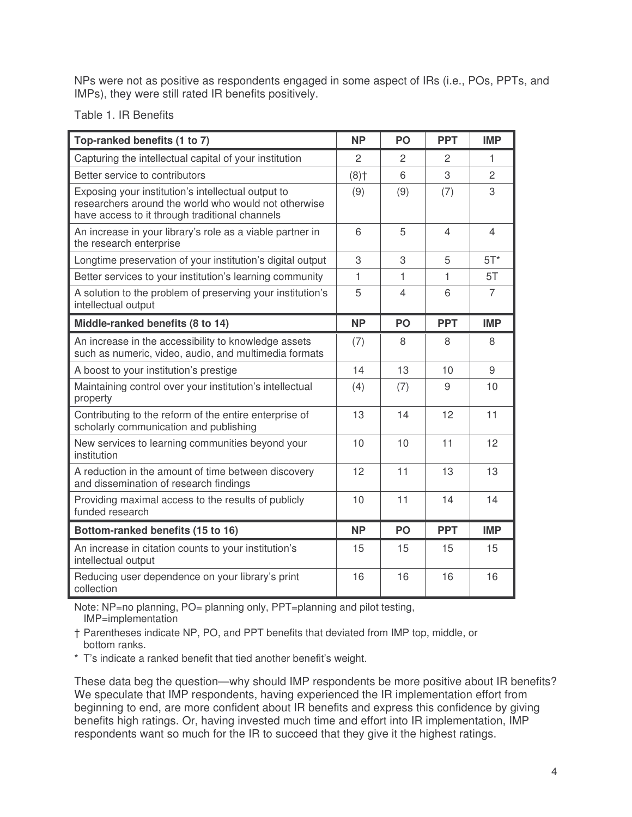NPs were not as positive as respondents engaged in some aspect of IRs (i.e., POs, PPTs, and IMPs), they were still rated IR benefits positively.

Table 1. IR Benefits

| Top-ranked benefits (1 to 7)                                                                                                                                 | <b>NP</b>          | <b>PO</b>                | <b>PPT</b>     | <b>IMP</b>     |
|--------------------------------------------------------------------------------------------------------------------------------------------------------------|--------------------|--------------------------|----------------|----------------|
| Capturing the intellectual capital of your institution                                                                                                       | $\overline{2}$     | $\overline{2}$           | $\overline{2}$ | 1              |
| Better service to contributors                                                                                                                               | $(8)$ <sup>+</sup> | 6                        | 3              | $\overline{c}$ |
| Exposing your institution's intellectual output to<br>researchers around the world who would not otherwise<br>have access to it through traditional channels | (9)                | (9)                      | (7)            | 3              |
| An increase in your library's role as a viable partner in<br>the research enterprise                                                                         | 6                  | 5                        | $\overline{4}$ | $\overline{4}$ |
| Longtime preservation of your institution's digital output                                                                                                   | 3                  | 3                        | 5              | $5T^*$         |
| Better services to your institution's learning community                                                                                                     | 1                  | 1                        | 1              | 5T             |
| A solution to the problem of preserving your institution's<br>intellectual output                                                                            | 5                  | $\overline{\mathcal{L}}$ | 6              | $\overline{7}$ |
| Middle-ranked benefits (8 to 14)                                                                                                                             | <b>NP</b>          | <b>PO</b>                | <b>PPT</b>     | <b>IMP</b>     |
| An increase in the accessibility to knowledge assets<br>such as numeric, video, audio, and multimedia formats                                                | (7)                | 8                        | 8              | 8              |
| A boost to your institution's prestige                                                                                                                       | 14                 | 13                       | 10             | 9              |
| Maintaining control over your institution's intellectual<br>property                                                                                         | (4)                | (7)                      | 9              | 10             |
| Contributing to the reform of the entire enterprise of<br>scholarly communication and publishing                                                             | 13                 | 14                       | 12             | 11             |
| New services to learning communities beyond your<br>institution                                                                                              | 10                 | 10                       | 11             | 12             |
| A reduction in the amount of time between discovery<br>and dissemination of research findings                                                                | 12                 | 11                       | 13             | 13             |
| Providing maximal access to the results of publicly<br>funded research                                                                                       | 10                 | 11                       | 14             | 14             |
| Bottom-ranked benefits (15 to 16)                                                                                                                            | <b>NP</b>          | PO                       | <b>PPT</b>     | <b>IMP</b>     |
| An increase in citation counts to your institution's<br>intellectual output                                                                                  | 15                 | 15                       | 15             | 15             |
| Reducing user dependence on your library's print<br>collection                                                                                               | 16                 | 16                       | 16             | 16             |

Note: NP=no planning, PO= planning only, PPT=planning and pilot testing, IMP=implementation

† Parentheses indicate NP, PO, and PPT benefits that deviated from IMP top, middle, or bottom ranks.

\* T's indicate a ranked benefit that tied another benefit's weight.

These data beg the question—why should IMP respondents be more positive about IR benefits? We speculate that IMP respondents, having experienced the IR implementation effort from beginning to end, are more confident about IR benefits and express this confidence by giving benefits high ratings. Or, having invested much time and effort into IR implementation, IMP respondents want so much for the IR to succeed that they give it the highest ratings.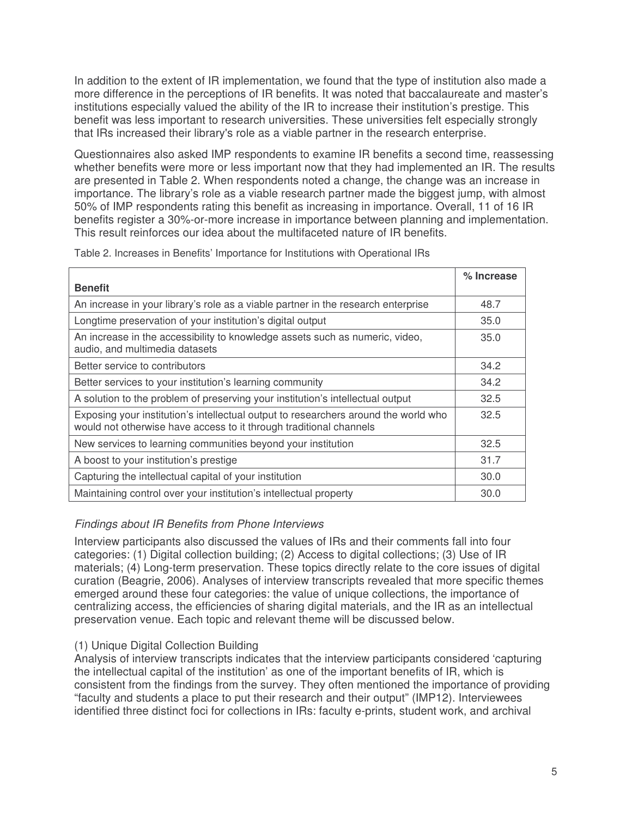In addition to the extent of IR implementation, we found that the type of institution also made a more difference in the perceptions of IR benefits. It was noted that baccalaureate and master's institutions especially valued the ability of the IR to increase their institution's prestige. This benefit was less important to research universities. These universities felt especially strongly that IRs increased their library's role as a viable partner in the research enterprise.

Questionnaires also asked IMP respondents to examine IR benefits a second time, reassessing whether benefits were more or less important now that they had implemented an IR. The results are presented in Table 2. When respondents noted a change, the change was an increase in importance. The library's role as a viable research partner made the biggest jump, with almost 50% of IMP respondents rating this benefit as increasing in importance. Overall, 11 of 16 IR benefits register a 30%-or-more increase in importance between planning and implementation. This result reinforces our idea about the multifaceted nature of IR benefits.

|                                                                                                                                                           | % Increase |
|-----------------------------------------------------------------------------------------------------------------------------------------------------------|------------|
| <b>Benefit</b>                                                                                                                                            |            |
| An increase in your library's role as a viable partner in the research enterprise                                                                         | 48.7       |
| Longtime preservation of your institution's digital output                                                                                                | 35.0       |
| An increase in the accessibility to knowledge assets such as numeric, video,<br>audio, and multimedia datasets                                            | 35.0       |
| Better service to contributors                                                                                                                            | 34.2       |
| Better services to your institution's learning community                                                                                                  | 34.2       |
| A solution to the problem of preserving your institution's intellectual output                                                                            | 32.5       |
| Exposing your institution's intellectual output to researchers around the world who<br>would not otherwise have access to it through traditional channels | 32.5       |
| New services to learning communities beyond your institution                                                                                              | 32.5       |
| A boost to your institution's prestige                                                                                                                    | 31.7       |
| Capturing the intellectual capital of your institution                                                                                                    | 30.0       |
| Maintaining control over your institution's intellectual property                                                                                         | 30.0       |

Table 2. Increases in Benefits' Importance for Institutions with Operational IRs

# *Findings about IR Benefits from Phone Interviews*

Interview participants also discussed the values of IRs and their comments fall into four categories: (1) Digital collection building; (2) Access to digital collections; (3) Use of IR materials; (4) Long-term preservation. These topics directly relate to the core issues of digital curation (Beagrie, 2006). Analyses of interview transcripts revealed that more specific themes emerged around these four categories: the value of unique collections, the importance of centralizing access, the efficiencies of sharing digital materials, and the IR as an intellectual preservation venue. Each topic and relevant theme will be discussed below.

# (1) Unique Digital Collection Building

Analysis of interview transcripts indicates that the interview participants considered 'capturing the intellectual capital of the institution' as one of the important benefits of IR, which is consistent from the findings from the survey. They often mentioned the importance of providing "faculty and students a place to put their research and their output" (IMP12). Interviewees identified three distinct foci for collections in IRs: faculty e-prints, student work, and archival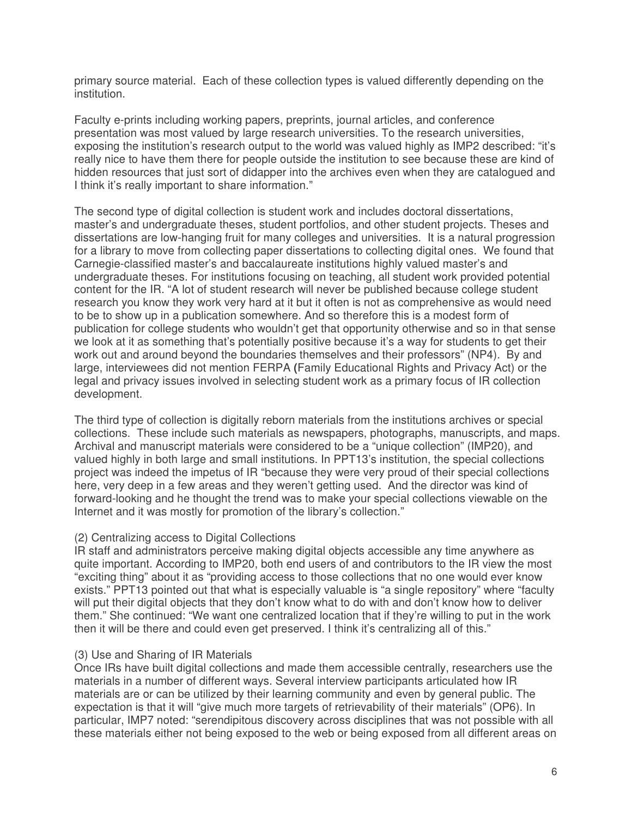primary source material. Each of these collection types is valued differently depending on the institution.

Faculty e-prints including working papers, preprints, journal articles, and conference presentation was most valued by large research universities. To the research universities, exposing the institution's research output to the world was valued highly as IMP2 described: "it's really nice to have them there for people outside the institution to see because these are kind of hidden resources that just sort of didapper into the archives even when they are catalogued and I think it's really important to share information."

The second type of digital collection is student work and includes doctoral dissertations, master's and undergraduate theses, student portfolios, and other student projects. Theses and dissertations are low-hanging fruit for many colleges and universities. It is a natural progression for a library to move from collecting paper dissertations to collecting digital ones. We found that Carnegie-classified master's and baccalaureate institutions highly valued master's and undergraduate theses. For institutions focusing on teaching, all student work provided potential content for the IR. "A lot of student research will never be published because college student research you know they work very hard at it but it often is not as comprehensive as would need to be to show up in a publication somewhere. And so therefore this is a modest form of publication for college students who wouldn't get that opportunity otherwise and so in that sense we look at it as something that's potentially positive because it's a way for students to get their work out and around beyond the boundaries themselves and their professors" (NP4). By and large, interviewees did not mention FERPA **(**Family Educational Rights and Privacy Act) or the legal and privacy issues involved in selecting student work as a primary focus of IR collection development.

The third type of collection is digitally reborn materials from the institutions archives or special collections. These include such materials as newspapers, photographs, manuscripts, and maps. Archival and manuscript materials were considered to be a "unique collection" (IMP20), and valued highly in both large and small institutions. In PPT13's institution, the special collections project was indeed the impetus of IR "because they were very proud of their special collections here, very deep in a few areas and they weren't getting used. And the director was kind of forward-looking and he thought the trend was to make your special collections viewable on the Internet and it was mostly for promotion of the library's collection."

#### (2) Centralizing access to Digital Collections

IR staff and administrators perceive making digital objects accessible any time anywhere as quite important. According to IMP20, both end users of and contributors to the IR view the most "exciting thing" about it as "providing access to those collections that no one would ever know exists." PPT13 pointed out that what is especially valuable is "a single repository" where "faculty will put their digital objects that they don't know what to do with and don't know how to deliver them." She continued: "We want one centralized location that if they're willing to put in the work then it will be there and could even get preserved. I think it's centralizing all of this."

### (3) Use and Sharing of IR Materials

Once IRs have built digital collections and made them accessible centrally, researchers use the materials in a number of different ways. Several interview participants articulated how IR materials are or can be utilized by their learning community and even by general public. The expectation is that it will "give much more targets of retrievability of their materials" (OP6). In particular, IMP7 noted: "serendipitous discovery across disciplines that was not possible with all these materials either not being exposed to the web or being exposed from all different areas on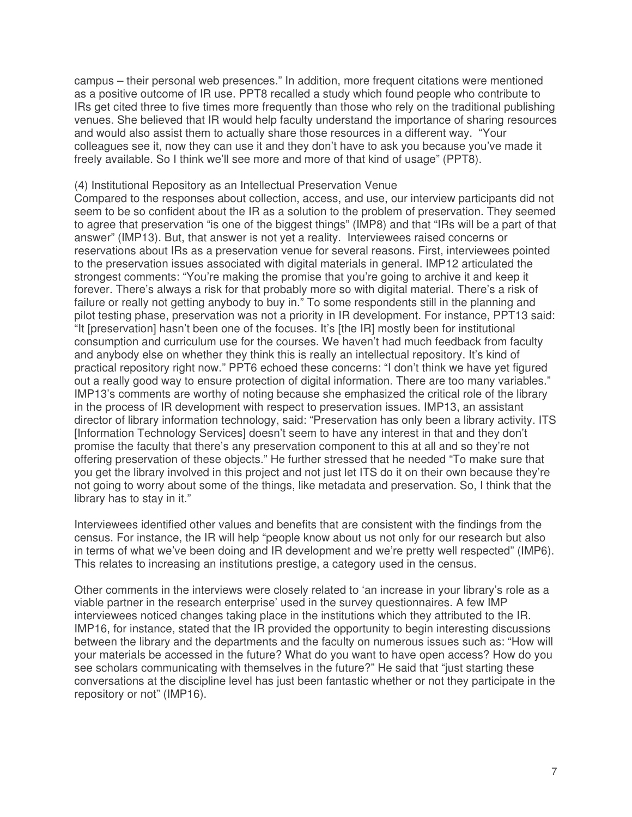campus – their personal web presences." In addition, more frequent citations were mentioned as a positive outcome of IR use. PPT8 recalled a study which found people who contribute to IRs get cited three to five times more frequently than those who rely on the traditional publishing venues. She believed that IR would help faculty understand the importance of sharing resources and would also assist them to actually share those resources in a different way. "Your colleagues see it, now they can use it and they don't have to ask you because you've made it freely available. So I think we'll see more and more of that kind of usage" (PPT8).

### (4) Institutional Repository as an Intellectual Preservation Venue

Compared to the responses about collection, access, and use, our interview participants did not seem to be so confident about the IR as a solution to the problem of preservation. They seemed to agree that preservation "is one of the biggest things" (IMP8) and that "IRs will be a part of that answer" (IMP13). But, that answer is not yet a reality. Interviewees raised concerns or reservations about IRs as a preservation venue for several reasons. First, interviewees pointed to the preservation issues associated with digital materials in general. IMP12 articulated the strongest comments: "You're making the promise that you're going to archive it and keep it forever. There's always a risk for that probably more so with digital material. There's a risk of failure or really not getting anybody to buy in." To some respondents still in the planning and pilot testing phase, preservation was not a priority in IR development. For instance, PPT13 said: "It [preservation] hasn't been one of the focuses. It's [the IR] mostly been for institutional consumption and curriculum use for the courses. We haven't had much feedback from faculty and anybody else on whether they think this is really an intellectual repository. It's kind of practical repository right now." PPT6 echoed these concerns: "I don't think we have yet figured out a really good way to ensure protection of digital information. There are too many variables." IMP13's comments are worthy of noting because she emphasized the critical role of the library in the process of IR development with respect to preservation issues. IMP13, an assistant director of library information technology, said: "Preservation has only been a library activity. ITS [Information Technology Services] doesn't seem to have any interest in that and they don't promise the faculty that there's any preservation component to this at all and so they're not offering preservation of these objects." He further stressed that he needed "To make sure that you get the library involved in this project and not just let ITS do it on their own because they're not going to worry about some of the things, like metadata and preservation. So, I think that the library has to stay in it."

Interviewees identified other values and benefits that are consistent with the findings from the census. For instance, the IR will help "people know about us not only for our research but also in terms of what we've been doing and IR development and we're pretty well respected" (IMP6). This relates to increasing an institutions prestige, a category used in the census.

Other comments in the interviews were closely related to 'an increase in your library's role as a viable partner in the research enterprise' used in the survey questionnaires. A few IMP interviewees noticed changes taking place in the institutions which they attributed to the IR. IMP16, for instance, stated that the IR provided the opportunity to begin interesting discussions between the library and the departments and the faculty on numerous issues such as: "How will your materials be accessed in the future? What do you want to have open access? How do you see scholars communicating with themselves in the future?" He said that "just starting these conversations at the discipline level has just been fantastic whether or not they participate in the repository or not" (IMP16).